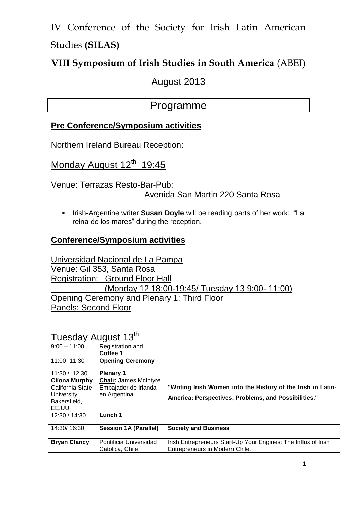IV Conference of the Society for Irish Latin American

## Studies **(SILAS)**

## **VIII Symposium of Irish Studies in South America** (ABEI)

### August 2013

## Programme

### **Pre Conference/Symposium activities**

Northern Ireland Bureau Reception:

## Monday August 12<sup>th</sup> 19:45

Venue: Terrazas Resto-Bar-Pub:

Avenida San Martin 220 Santa Rosa

**IFICH-Argentine writer Susan Doyle** will be reading parts of her work: "La reina de los mares" during the reception.

#### **Conference/Symposium activities**

Universidad Nacional de La Pampa Venue: Gil 353, Santa Rosa Registration: Ground Floor Hall (Monday 12 18:00-19:45/ Tuesday 13 9:00- 11:00) Opening Ceremony and Plenary 1: Third Floor Panels: Second Floor

#### Tuesday August 13th

| , uvvuv <i>,</i>     | 1.9990110                    |                                                                |
|----------------------|------------------------------|----------------------------------------------------------------|
| $9:00 - 11:00$       | Registration and             |                                                                |
|                      | Coffee 1                     |                                                                |
| 11:00-11:30          | <b>Opening Ceremony</b>      |                                                                |
|                      |                              |                                                                |
| 11:30 / 12:30        | <b>Plenary 1</b>             |                                                                |
| <b>Cliona Murphy</b> | <b>Chair: James McIntyre</b> |                                                                |
| California State     | Embajador de Irlanda         | "Writing Irish Women into the History of the Irish in Latin-   |
| University,          | en Argentina.                | America: Perspectives, Problems, and Possibilities."           |
| Bakersfield,         |                              |                                                                |
| EE.UU.               |                              |                                                                |
| 12:30 / 14:30        | Lunch 1                      |                                                                |
|                      |                              |                                                                |
| 14:30/16:30          | <b>Session 1A (Parallel)</b> | <b>Society and Business</b>                                    |
|                      |                              |                                                                |
| <b>Bryan Clancy</b>  | Pontificia Universidad       | Irish Entrepreneurs Start-Up Your Engines: The Influx of Irish |
|                      | Católica, Chile              | Entrepreneurs in Modern Chile.                                 |
|                      |                              |                                                                |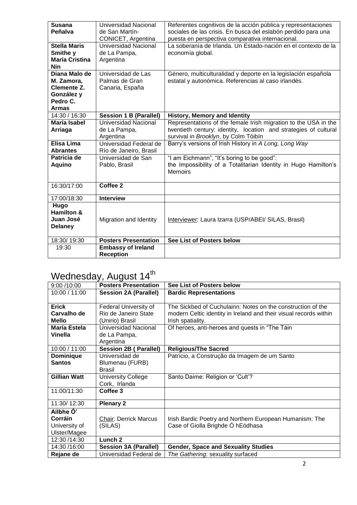| <b>Susana</b><br><b>Peñalva</b><br><b>Stella Maris</b><br>Smithe y<br><b>María Cristina</b><br>Nin<br>Diana Malo de | Universidad Nacional<br>de San Martín-<br>CONICET, Argentina<br>Universidad Nacional<br>de La Pampa,<br>Argentina<br>Universidad de Las | Referentes cognitivos de la acción pública y representaciones<br>sociales de las crisis. En busca del eslabón perdido para una<br>puesta en perspectiva comparativa internacional.<br>La soberanía de Irlanda. Un Estado-nación en el contexto de la<br>economía global.<br>Género, multiculturalidad y deporte en la legislación española |
|---------------------------------------------------------------------------------------------------------------------|-----------------------------------------------------------------------------------------------------------------------------------------|--------------------------------------------------------------------------------------------------------------------------------------------------------------------------------------------------------------------------------------------------------------------------------------------------------------------------------------------|
| M. Zamora.<br>Clemente Z.<br>González y<br>Pedro C.<br><b>Armas</b>                                                 | Palmas de Gran<br>Canaria, España                                                                                                       | estatal y autonómica. Referencias al caso irlandés.                                                                                                                                                                                                                                                                                        |
| 14:30 / 16:30                                                                                                       | <b>Session 1 B (Parallel)</b>                                                                                                           | <b>History, Memory and Identity</b>                                                                                                                                                                                                                                                                                                        |
| María Isabel                                                                                                        | Universidad Nacional                                                                                                                    | Representations of the female Irish migration to the USA in the                                                                                                                                                                                                                                                                            |
| Arriaga                                                                                                             | de La Pampa,<br>Argentina                                                                                                               | twentieth century: identity, location and strategies of cultural<br>survival in Brooklyn, by Colm Tóibín                                                                                                                                                                                                                                   |
| Elisa Lima<br><b>Abrantes</b>                                                                                       | Universidad Federal de<br>Río de Janeiro, Brasil                                                                                        | Barry's versions of Irish History in A Long, Long Way                                                                                                                                                                                                                                                                                      |
| Patricia de<br><b>Aquino</b>                                                                                        | Universidad de San<br>Pablo, Brasil                                                                                                     | "I am Eichmann", "It's boring to be good":<br>the Impossibility of a Totalitarian Identity in Hugo Hamilton's<br><b>Memoirs</b>                                                                                                                                                                                                            |
| 16:30/17:00                                                                                                         | Coffee 2                                                                                                                                |                                                                                                                                                                                                                                                                                                                                            |
| 17:00/18:30                                                                                                         | <b>Interview</b>                                                                                                                        |                                                                                                                                                                                                                                                                                                                                            |
| Hugo<br><b>Hamilton &amp;</b><br>Juan José<br><b>Delaney</b>                                                        | Migration and Identity                                                                                                                  | Interviewer: Laura Izarra (USP/ABEI/ SILAS, Brasil)                                                                                                                                                                                                                                                                                        |
| 18:30/19:30                                                                                                         | <b>Posters Presentation</b>                                                                                                             | See List of Posters below                                                                                                                                                                                                                                                                                                                  |
| 19:30                                                                                                               | <b>Embassy of Ireland</b><br><b>Reception</b>                                                                                           |                                                                                                                                                                                                                                                                                                                                            |

# Wednesday, August 14<sup>th</sup>

| 9:00 /10:00         | <b>Posters Presentation</b>   | See List of Posters below                                         |
|---------------------|-------------------------------|-------------------------------------------------------------------|
| 10:00 / 11:00       | <b>Session 2A (Parallel)</b>  | <b>Bardic Representations</b>                                     |
|                     |                               |                                                                   |
| <b>Erick</b>        | Federal University of         | The Sickbed of Cuchulainn: Notes on the construction of the       |
| Carvalho de         | Rio de Janeiro State          | modern Celtic identity in Ireland and their visual records within |
| <b>Mello</b>        | (Unirio) Brasil               | Irish spatiality.                                                 |
| <b>María Estela</b> | Universidad Nacional          | Of heroes, anti-heroes and quests in "The Táin                    |
| Vinella             | de La Pampa,                  |                                                                   |
|                     | Argentina                     |                                                                   |
| 10:00 / 11:00       | <b>Session 2B ( Parallel)</b> | <b>Religious/The Sacred</b>                                       |
| <b>Dominique</b>    | Universidad de                | Patrício, a Construção da Imagem de um Santo                      |
| <b>Santos</b>       | Blumenau (FURB)               |                                                                   |
|                     | <b>Brasil</b>                 |                                                                   |
| <b>Gillian Watt</b> | <b>University College</b>     | Santo Daime: Religion or 'Cult'?                                  |
|                     | Cork, Irlanda                 |                                                                   |
| 11:00/11:30         | Coffee 3                      |                                                                   |
|                     |                               |                                                                   |
| 11:30/12:30         | <b>Plenary 2</b>              |                                                                   |
| Ailbhe O'           |                               |                                                                   |
| Corráin             | <b>Chair: Derrick Marcus</b>  | Irish Bardic Poetry and Northern European Humanism: The           |
| University of       | (SILAS)                       | Case of Giolla Brighde Ó hEódhasa                                 |
| Ulster/Magee        |                               |                                                                   |
| 12:30 /14:30        | Lunch <sub>2</sub>            |                                                                   |
| 14:30 /16:00        | <b>Session 3A (Parallel)</b>  | <b>Gender, Space and Sexuality Studies</b>                        |
| Rejane de           | Universidad Federal de        | The Gathering: sexuality surfaced                                 |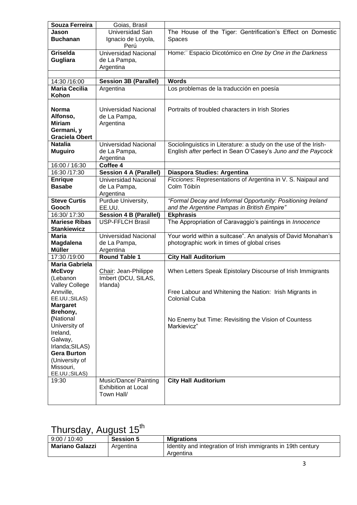| Souza Ferreira        | Goias, Brasil                 |                                                                  |
|-----------------------|-------------------------------|------------------------------------------------------------------|
| Jason                 | Universidad San               | The House of the Tiger: Gentrification's Effect on Domestic      |
| <b>Buchanan</b>       | Ignacio de Loyola,            | <b>Spaces</b>                                                    |
|                       | Perú                          |                                                                  |
| Griselda              | Universidad Nacional          | Home:" Espacio Dicotómico en One by One in the Darkness          |
| Gugliara              | de La Pampa,                  |                                                                  |
|                       | Argentina                     |                                                                  |
|                       |                               |                                                                  |
| 14:30 /16:00          | <b>Session 3B (Parallel)</b>  | <b>Words</b>                                                     |
| <b>Maria Cecilia</b>  | Argentina                     | Los problemas de la traducción en poesía                         |
| Kohon                 |                               |                                                                  |
|                       |                               |                                                                  |
| <b>Norma</b>          | Universidad Nacional          | Portraits of troubled characters in Irish Stories                |
| Alfonso,              | de La Pampa,                  |                                                                  |
| <b>Miriam</b>         | Argentina                     |                                                                  |
| Germani, y            |                               |                                                                  |
| <b>Graciela Obert</b> |                               |                                                                  |
| <b>Natalia</b>        | Universidad Nacional          | Sociolinguistics in Literature: a study on the use of the Irish- |
|                       |                               | English after perfect in Sean O'Casey's Juno and the Paycock     |
| <b>Muguiro</b>        | de La Pampa,                  |                                                                  |
|                       | Argentina                     |                                                                  |
| 16:00 / 16:30         | Coffee 4                      |                                                                  |
| 16:30 /17:30          | <b>Session 4 A (Parallel)</b> | Diaspora Studies: Argentina                                      |
| <b>Enrique</b>        | <b>Universidad Nacional</b>   | Ficciones: Representations of Argentina in V. S. Naipaul and     |
| <b>Basabe</b>         | de La Pampa,                  | Colm Tóibín                                                      |
|                       | Argentina                     |                                                                  |
| <b>Steve Curtis</b>   | Purdue University,            | "Formal Decay and Informal Opportunity: Positioning Ireland      |
| Gooch                 | EE.UU.                        | and the Argentine Pampas in British Empire"                      |
| 16:30/17:30           | <b>Session 4 B (Parallel)</b> | <b>Ekphrasis</b>                                                 |
| <b>Mariese Ribas</b>  | <b>USP-FFLCH Brasil</b>       | The Appropriation of Caravaggio's paintings in Innocence         |
| <b>Stankiewicz</b>    |                               |                                                                  |
| <b>Maria</b>          | Universidad Nacional          | Your world within a suitcase". An analysis of David Monahan's    |
|                       |                               |                                                                  |
| <b>Magdalena</b>      | de La Pampa,                  | photographic work in times of global crises                      |
| <b>Müller</b>         | Argentina                     |                                                                  |
| 17:30 /19:00          | Round Table 1                 | <b>City Hall Auditorium</b>                                      |
| <b>Maria Gabriela</b> |                               |                                                                  |
| <b>McEvoy</b>         | Chair: Jean-Philippe          | When Letters Speak Epistolary Discourse of Irish Immigrants      |
| (Lebanon              | Imbert (DCU, SILAS,           |                                                                  |
| <b>Valley College</b> | Irlanda)                      |                                                                  |
| Annville,             |                               | Free Labour and Whitening the Nation: Irish Migrants in          |
| EE.UU.;SILAS)         |                               | <b>Colonial Cuba</b>                                             |
| <b>Margaret</b>       |                               |                                                                  |
| Brehony,              |                               |                                                                  |
| (National             |                               | No Enemy but Time: Revisiting the Vision of Countess             |
| University of         |                               | Markievicz"                                                      |
| Ireland,              |                               |                                                                  |
| Galway,               |                               |                                                                  |
| Irlanda; SILAS)       |                               |                                                                  |
| <b>Gera Burton</b>    |                               |                                                                  |
| (University of        |                               |                                                                  |
| Missouri,             |                               |                                                                  |
| EE.UU.;SILAS)         |                               |                                                                  |
| 19:30                 | Music/Dance/ Painting         | <b>City Hall Auditorium</b>                                      |
|                       | <b>Exhibition at Local</b>    |                                                                  |
|                       | Town Hall/                    |                                                                  |

# Thursday, August 15<sup>th</sup>

| 9:00 / 10:40           | <b>Session 5</b> | <b>Migrations</b>                                                         |
|------------------------|------------------|---------------------------------------------------------------------------|
| <b>Mariano Galazzi</b> | Argentina        | Identity and integration of Irish immigrants in 19th century<br>Argentina |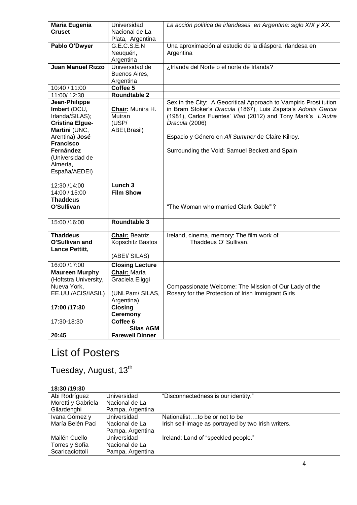| Maria Eugenia                 | Universidad                | La acción política de irlandeses en Argentina: siglo XIX y XX.                                                              |
|-------------------------------|----------------------------|-----------------------------------------------------------------------------------------------------------------------------|
| <b>Cruset</b>                 | Nacional de La             |                                                                                                                             |
|                               | Plata, Argentina           |                                                                                                                             |
| Pablo O'Dwyer                 | G.E.C.S.E.N                | Una aproximación al estudio de la diáspora irlandesa en                                                                     |
|                               | Neuquén,                   | Argentina                                                                                                                   |
|                               | Argentina                  |                                                                                                                             |
| <b>Juan Manuel Rizzo</b>      | Universidad de             | ¿Irlanda del Norte o el norte de Irlanda?                                                                                   |
|                               | Buenos Aires,              |                                                                                                                             |
|                               | Argentina<br>Coffee 5      |                                                                                                                             |
| 10:40 / 11:00                 | <b>Roundtable 2</b>        |                                                                                                                             |
| 11:00/12:30                   |                            |                                                                                                                             |
| Jean-Philippe<br>Imbert (DCU, |                            | Sex in the City: A Geocritical Approach to Vampiric Prostitution                                                            |
| Irlanda/SILAS);               | Chair: Munira H.<br>Mutran | in Bram Stoker's Dracula (1867), Luis Zapata's Adonis Garcia<br>(1981), Carlos Fuentes' Vlad (2012) and Tony Mark's L'Autre |
| <b>Cristina Elgue-</b>        | (USP/                      | Dracula (2006)                                                                                                              |
| Martini (UNC,                 | ABEI, Brasil)              |                                                                                                                             |
| Arentina) José                |                            | Espacio y Género en All Summer de Claire Kilroy.                                                                            |
| <b>Francisco</b>              |                            |                                                                                                                             |
| <b>Fernández</b>              |                            | Surrounding the Void: Samuel Beckett and Spain                                                                              |
| (Universidad de               |                            |                                                                                                                             |
| Almería,                      |                            |                                                                                                                             |
| España/AEDEI)                 |                            |                                                                                                                             |
|                               |                            |                                                                                                                             |
| 12:30 /14:00                  | Lunch <sub>3</sub>         |                                                                                                                             |
| 14:00 / 15:00                 | <b>Film Show</b>           |                                                                                                                             |
| <b>Thaddeus</b>               |                            |                                                                                                                             |
| O'Sullivan                    |                            | "The Woman who married Clark Gable"'?                                                                                       |
|                               |                            |                                                                                                                             |
| 15:00 /16:00                  | <b>Roundtable 3</b>        |                                                                                                                             |
| <b>Thaddeus</b>               | <b>Chair: Beatriz</b>      | Ireland, cinema, memory: The film work of                                                                                   |
| O'Sullivan and                | Kopschitz Bastos           | Thaddeus O' Sullivan.                                                                                                       |
| Lance Pettitt,                |                            |                                                                                                                             |
|                               | (ABEI/ SILAS)              |                                                                                                                             |
| 16:00 /17:00                  | <b>Closing Lecture</b>     |                                                                                                                             |
| <b>Maureen Murphy</b>         | Chair: María               |                                                                                                                             |
| (Hoftstra University,         | Graciela Eliggi            |                                                                                                                             |
| Nueva York,                   |                            | Compassionate Welcome: The Mission of Our Lady of the                                                                       |
| EE.UU./ACIS/IASIL)            | (UNLPam/SILAS,             | Rosary for the Protection of Irish Immigrant Girls                                                                          |
|                               | Argentina)                 |                                                                                                                             |
| 17:00 /17:30                  | <b>Closing</b>             |                                                                                                                             |
|                               | <b>Ceremony</b>            |                                                                                                                             |
| 17:30-18:30                   | Coffee 6                   |                                                                                                                             |
|                               | <b>Silas AGM</b>           |                                                                                                                             |
| 20:45                         | <b>Farewell Dinner</b>     |                                                                                                                             |

# List of Posters

Tuesday, August, 13<sup>th</sup>

| 18:30 /19:30       |                  |                                                     |
|--------------------|------------------|-----------------------------------------------------|
| Abi Rodríguez      | Universidad      | "Disconnectedness is our identity."                 |
| Moretti y Gabriela | Nacional de La   |                                                     |
| Gilardenghi        | Pampa, Argentina |                                                     |
| Ivana Gómez y      | Universidad      | Nationalistto be or not to be                       |
| María Belén Paci   | Nacional de La   | Irish self-image as portrayed by two Irish writers. |
|                    | Pampa, Argentina |                                                     |
| Mailén Cuello      | Universidad      | Ireland: Land of "speckled people."                 |
| Torres y Sofía     | Nacional de La   |                                                     |
| Scaricaciottoli    | Pampa, Argentina |                                                     |